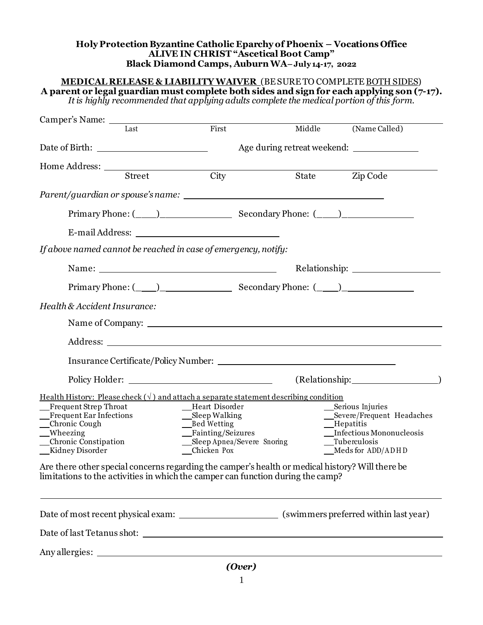## **Holy Protection Byzantine Catholic Eparchy of Phoenix – Vocations Office ALIVE IN CHRIST "Ascetical Boot Camp" Black Diamond Camps, Auburn WA– July 14-17, 2022**

| Camper's Name: Last Eirst Middle (Name Called)                                                                                                                                                                                                 |                                                                                                           |  |                                                                                                                                 |  |  |  |
|------------------------------------------------------------------------------------------------------------------------------------------------------------------------------------------------------------------------------------------------|-----------------------------------------------------------------------------------------------------------|--|---------------------------------------------------------------------------------------------------------------------------------|--|--|--|
|                                                                                                                                                                                                                                                |                                                                                                           |  | Age during retreat weekend: ______________                                                                                      |  |  |  |
|                                                                                                                                                                                                                                                |                                                                                                           |  |                                                                                                                                 |  |  |  |
| Home Address: <u>Street</u> City State Street City State                                                                                                                                                                                       |                                                                                                           |  | Zip Code                                                                                                                        |  |  |  |
|                                                                                                                                                                                                                                                |                                                                                                           |  |                                                                                                                                 |  |  |  |
|                                                                                                                                                                                                                                                |                                                                                                           |  |                                                                                                                                 |  |  |  |
|                                                                                                                                                                                                                                                |                                                                                                           |  |                                                                                                                                 |  |  |  |
| If above named cannot be reached in case of emergency, notify:                                                                                                                                                                                 |                                                                                                           |  |                                                                                                                                 |  |  |  |
|                                                                                                                                                                                                                                                |                                                                                                           |  |                                                                                                                                 |  |  |  |
|                                                                                                                                                                                                                                                |                                                                                                           |  |                                                                                                                                 |  |  |  |
| Health & Accident Insurance:                                                                                                                                                                                                                   |                                                                                                           |  |                                                                                                                                 |  |  |  |
|                                                                                                                                                                                                                                                |                                                                                                           |  |                                                                                                                                 |  |  |  |
|                                                                                                                                                                                                                                                |                                                                                                           |  |                                                                                                                                 |  |  |  |
|                                                                                                                                                                                                                                                |                                                                                                           |  |                                                                                                                                 |  |  |  |
| Policy Holder: New York: New York: New York: New York: New York: New York: New York: New York: New York: New York: New York: New York: New York: New York: New York: New York: New York: New York: New York: New York: New Yor                 |                                                                                                           |  | (Relationship: 1997)                                                                                                            |  |  |  |
| Health History: Please check $(\sqrt{})$ and attach a separate statement describing condition<br>Frequent Strep Throat<br>Heart Disorder<br>Frequent Ear Infections<br>_Chronic Cough<br>__Wheezing<br>Chronic Constipation<br>Kidney Disorder | $\_\_\$ Sleep Walking<br>__Bed Wetting<br>_Fainting/Seizures<br>Sleep Apnea/Severe Snoring<br>Chicken Pox |  | Serious Injuries<br>__Severe/Frequent Headaches<br>__Hepatitis<br>Infectious Mononucleosis<br>Tuberculosis<br>Meds for ADD/ADHD |  |  |  |
| Are there other special concerns regarding the camper's health or medical history? Will there be<br>limitations to the activities in which the camper can function during the camp?                                                            |                                                                                                           |  |                                                                                                                                 |  |  |  |
|                                                                                                                                                                                                                                                |                                                                                                           |  |                                                                                                                                 |  |  |  |
|                                                                                                                                                                                                                                                |                                                                                                           |  |                                                                                                                                 |  |  |  |
| Any allergies: No. 2014. The Santa Contract of the Santa Contract of the Santa Contract of the Santa Contract of the Santa Contract of the Santa Contract of the Santa Contract of the Santa Contract of the Santa Contract of                 |                                                                                                           |  |                                                                                                                                 |  |  |  |